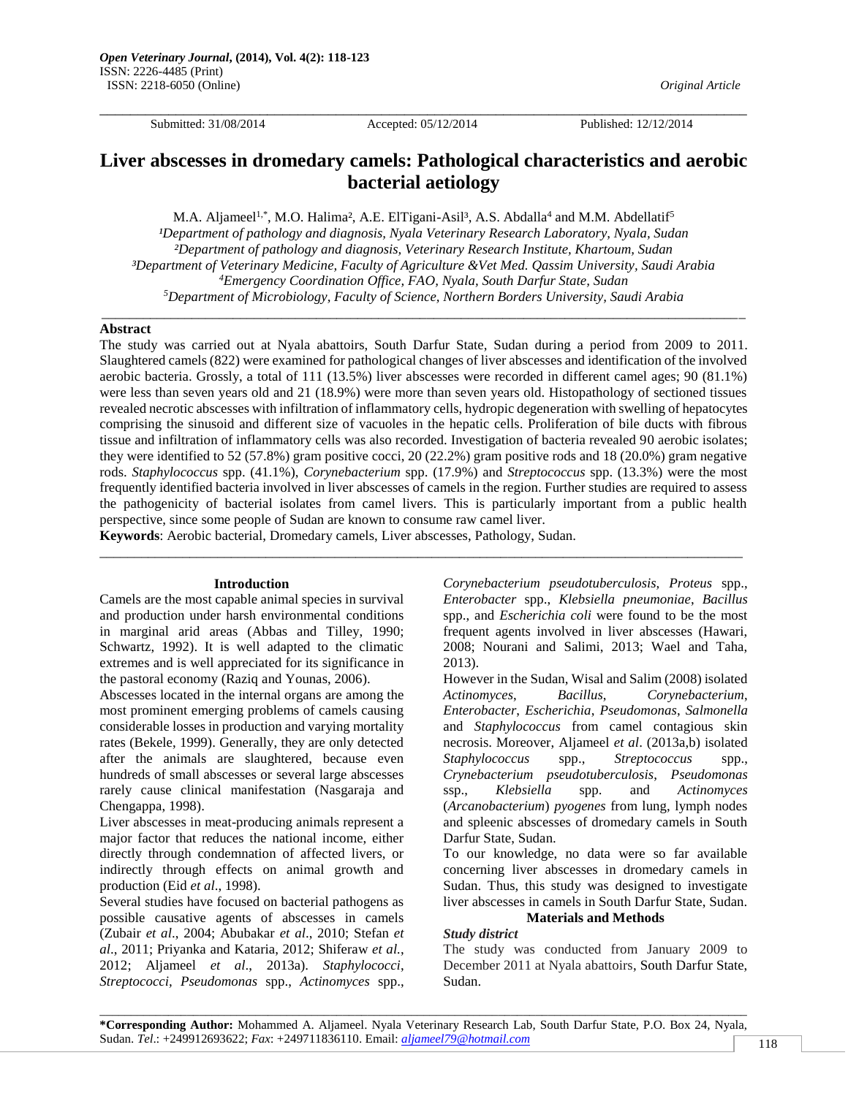Submitted: 31/08/2014 Accepted: 05/12/2014 Published: 12/12/2014

\_\_\_\_\_\_\_\_\_\_\_\_\_\_\_\_\_\_\_\_\_\_\_\_\_\_\_\_\_\_\_\_\_\_\_\_\_\_\_\_\_\_\_\_\_\_\_\_\_\_\_\_\_\_\_\_\_\_\_\_\_\_\_\_\_\_\_\_\_\_\_\_\_\_\_\_\_\_\_\_\_\_\_\_\_

# **Liver abscesses in dromedary camels: Pathological characteristics and aerobic bacterial aetiology**

M.A. Aljameel<sup>1,\*</sup>, M.O. Halima<sup>2</sup>, A.E. ElTigani-Asil<sup>3</sup>, A.S. Abdalla<sup>4</sup> and M.M. Abdellatif<sup>5</sup> <sup>1</sup>Department of pathology and diagnosis, Nyala Veterinary Research Laboratory, Nyala, Sudan *²Department of pathology and diagnosis, Veterinary Research Institute, Khartoum, Sudan ³Department of Veterinary Medicine, Faculty of Agriculture &Vet Med. Qassim University, Saudi Arabia <sup>4</sup>Emergency Coordination Office, FAO, Nyala, South Darfur State, Sudan <sup>5</sup>Department of Microbiology, Faculty of Science, Northern Borders University, Saudi Arabia*

\_\_\_\_\_\_\_\_\_\_\_\_\_\_\_\_\_\_\_\_\_\_\_\_\_\_\_\_\_\_\_\_\_\_\_\_\_\_\_\_\_\_\_\_\_\_\_\_\_\_\_\_\_\_\_\_\_\_\_\_\_\_\_\_\_\_\_\_\_\_\_\_\_\_\_\_\_\_\_\_\_\_\_\_\_\_\_\_\_\_\_\_\_

## **Abstract**

The study was carried out at Nyala abattoirs, South Darfur State, Sudan during a period from 2009 to 2011. Slaughtered camels (822) were examined for pathological changes of liver abscesses and identification of the involved aerobic bacteria. Grossly, a total of 111 (13.5%) liver abscesses were recorded in different camel ages; 90 (81.1%) were less than seven years old and 21 (18.9%) were more than seven years old. Histopathology of sectioned tissues revealed necrotic abscesses with infiltration of inflammatory cells, hydropic degeneration with swelling of hepatocytes comprising the sinusoid and different size of vacuoles in the hepatic cells. Proliferation of bile ducts with fibrous tissue and infiltration of inflammatory cells was also recorded. Investigation of bacteria revealed 90 aerobic isolates; they were identified to 52 (57.8%) gram positive cocci, 20 (22.2%) gram positive rods and 18 (20.0%) gram negative rods. *Staphylococcus* spp. (41.1%), *Corynebacterium* spp. (17.9%) and *Streptococcus* spp. (13.3%) were the most frequently identified bacteria involved in liver abscesses of camels in the region. Further studies are required to assess the pathogenicity of bacterial isolates from camel livers. This is particularly important from a public health perspective, since some people of Sudan are known to consume raw camel liver.

\_\_\_\_\_\_\_\_\_\_\_\_\_\_\_\_\_\_\_\_\_\_\_\_\_\_\_\_\_\_\_\_\_\_\_\_\_\_\_\_\_\_\_\_\_\_\_\_\_\_\_\_\_\_\_\_\_\_\_\_\_\_\_\_\_\_\_\_\_\_\_\_\_\_\_\_\_\_\_\_\_\_\_\_\_\_\_\_\_\_\_\_\_

**Keywords**: Aerobic bacterial, Dromedary camels, Liver abscesses, Pathology, Sudan.

## **Introduction**

Camels are the most capable animal species in survival and production under harsh environmental conditions in marginal arid areas (Abbas and Tilley, 1990; Schwartz, 1992). It is well adapted to the climatic extremes and is well appreciated for its significance in the pastoral economy (Raziq and Younas, 2006).

Abscesses located in the internal organs are among the most prominent emerging problems of camels causing considerable losses in production and varying mortality rates (Bekele, 1999). Generally, they are only detected after the animals are slaughtered, because even hundreds of small abscesses or several large abscesses rarely cause clinical manifestation (Nasgaraja and Chengappa, 1998).

Liver abscesses in meat-producing animals represent a major factor that reduces the national income, either directly through condemnation of affected livers, or indirectly through effects on animal growth and production (Eid *et al*., 1998).

Several studies have focused on bacterial pathogens as possible causative agents of abscesses in camels (Zubair *et al*., 2004; Abubakar *et al*., 2010; Stefan *et al*., 2011; Priyanka and Kataria, 2012; Shiferaw *et al.*, 2012; Aljameel *et al*., 2013a). *Staphylococci*, *Streptococci, Pseudomonas* spp., *Actinomyces* spp.,

*Corynebacterium pseudotuberculosis, Proteus* spp., *Enterobacter* spp., *Klebsiella pneumoniae*, *Bacillus* spp., and *Escherichia coli* were found to be the most frequent agents involved in liver abscesses (Hawari, 2008; Nourani and Salimi, 2013; Wael and Taha, 2013).

However in the Sudan, Wisal and Salim (2008) isolated *Actinomyces*, *Bacillus*, *Corynebacterium*, *Enterobacter*, *Escherichia*, *Pseudomonas*, *Salmonella* and *Staphylococcus* from camel contagious skin necrosis. Moreover, Aljameel *et al*. (2013a,b) isolated *Staphylococcus* spp., *Streptococcus* spp., *Crynebacterium pseudotuberculosis*, *Pseudomonas* ssp., *Klebsiella* spp. and *Actinomyces*  (*Arcanobacterium*) *pyogenes* from lung, lymph nodes and spleenic abscesses of dromedary camels in South Darfur State, Sudan.

To our knowledge, no data were so far available concerning liver abscesses in dromedary camels in Sudan. Thus, this study was designed to investigate liver abscesses in camels in South Darfur State, Sudan.

#### **Materials and Methods** *Study district*

The study was conducted from January 2009 to December 2011 at Nyala abattoirs, South Darfur State, Sudan.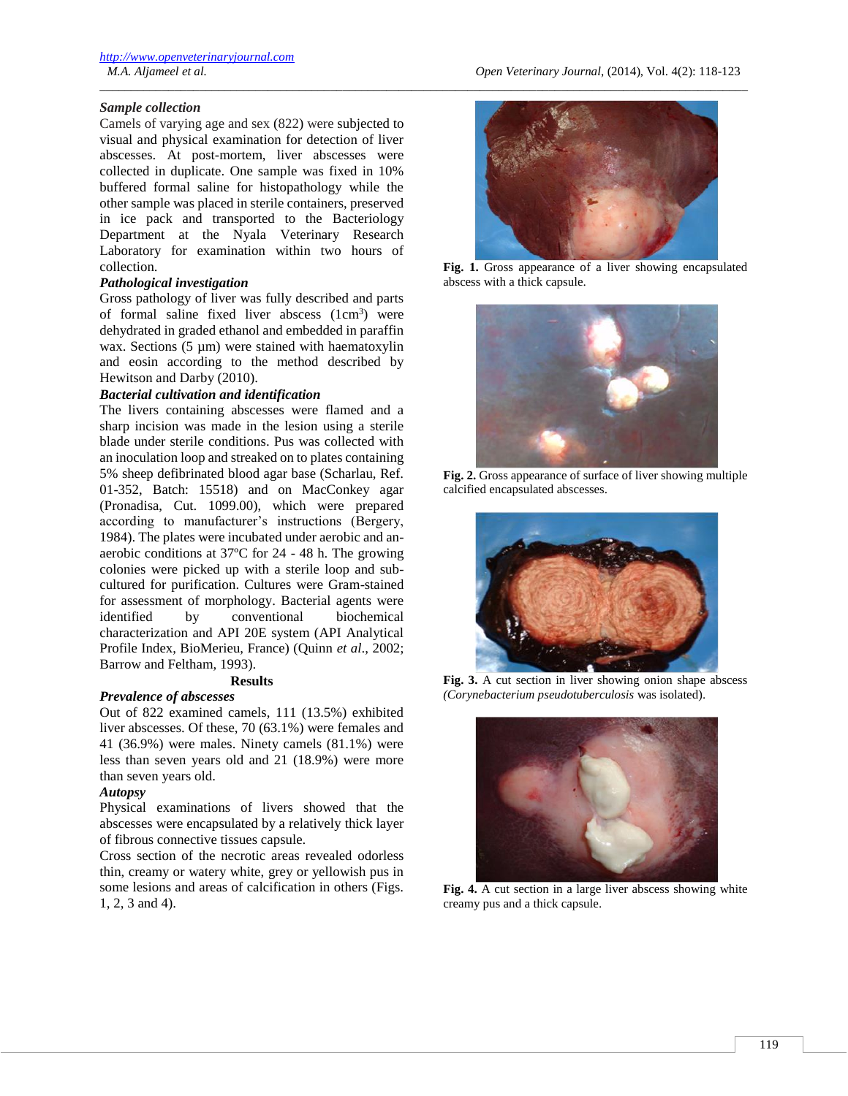# *Sample collection*

Camels of varying age and sex (822) were subjected to visual and physical examination for detection of liver abscesses. At post-mortem, liver abscesses were collected in duplicate. One sample was fixed in 10% buffered formal saline for histopathology while the other sample was placed in sterile containers, preserved in ice pack and transported to the Bacteriology Department at the Nyala Veterinary Research Laboratory for examination within two hours of collection.

# *Pathological investigation*

Gross pathology of liver was fully described and parts of formal saline fixed liver abscess  $(1cm<sup>3</sup>)$  were dehydrated in graded ethanol and embedded in paraffin wax. Sections (5 µm) were stained with haematoxylin and eosin according to the method described by Hewitson and Darby (2010).

## *Bacterial cultivation and identification*

The livers containing abscesses were flamed and a sharp incision was made in the lesion using a sterile blade under sterile conditions. Pus was collected with an inoculation loop and streaked on to plates containing 5% sheep defibrinated blood agar base (Scharlau, Ref. 01-352, Batch: 15518) and on MacConkey agar (Pronadisa, Cut. 1099.00), which were prepared according to manufacturer's instructions (Bergery, 1984). The plates were incubated under aerobic and anaerobic conditions at 37ºC for 24 - 48 h. The growing colonies were picked up with a sterile loop and subcultured for purification. Cultures were Gram-stained for assessment of morphology. Bacterial agents were identified by conventional biochemical characterization and API 20E system (API Analytical Profile Index, BioMerieu, France) (Quinn *et al*., 2002; Barrow and Feltham, 1993).

## **Results**

## *Prevalence of abscesses*

Out of 822 examined camels, 111 (13.5%) exhibited liver abscesses. Of these, 70 (63.1%) were females and 41 (36.9%) were males. Ninety camels (81.1%) were less than seven years old and 21 (18.9%) were more than seven years old.

## *Autopsy*

Physical examinations of livers showed that the abscesses were encapsulated by a relatively thick layer of fibrous connective tissues capsule.

Cross section of the necrotic areas revealed odorless thin, creamy or watery white, grey or yellowish pus in some lesions and areas of calcification in others (Figs. 1, 2, 3 and 4).



**Fig. 1.** Gross appearance of a liver showing encapsulated abscess with a thick capsule.



**Fig. 2.** Gross appearance of surface of liver showing multiple calcified encapsulated abscesses.



**Fig. 3.** A cut section in liver showing onion shape abscess *(Corynebacterium pseudotuberculosis* was isolated).



**Fig. 4.** A cut section in a large liver abscess showing white creamy pus and a thick capsule.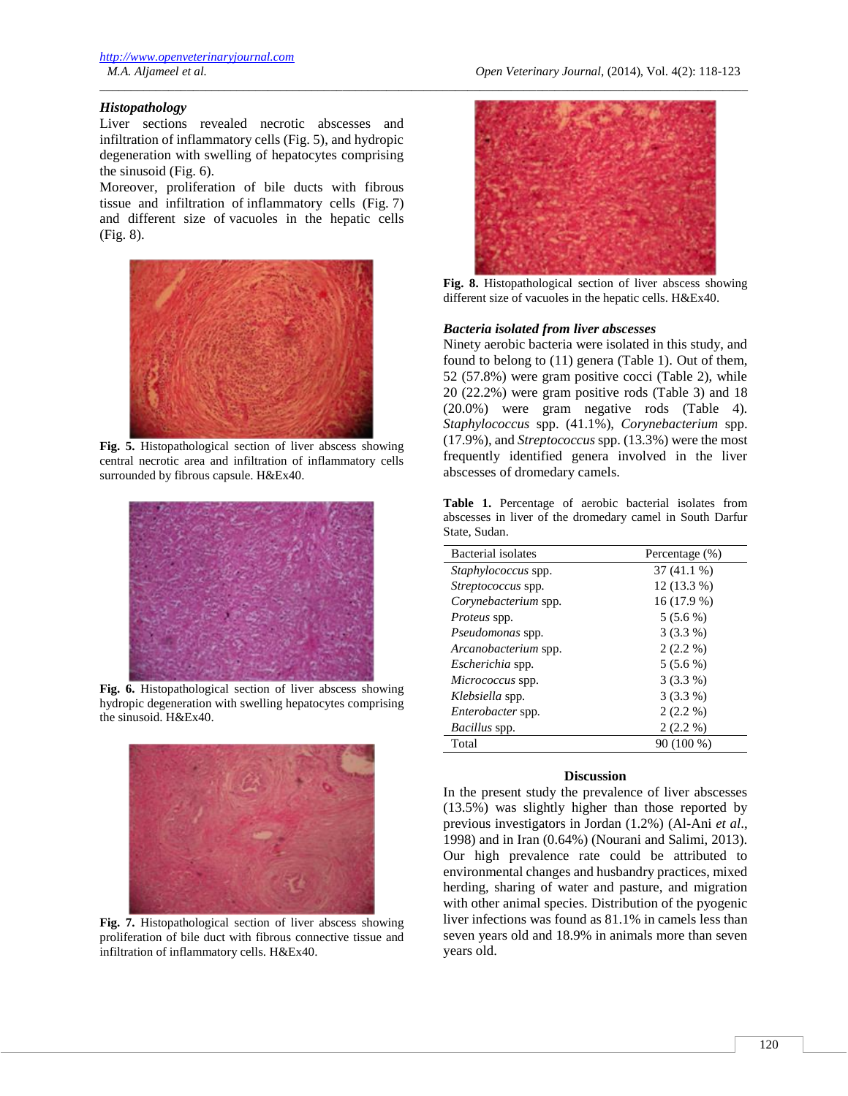#### *M.A. Aljameel et al. Open Veterinary Journal*, (2014), Vol. 4(2): 118-123

## *Histopathology*

Liver sections revealed necrotic abscesses and infiltration of inflammatory cells (Fig. 5), and hydropic degeneration with swelling of hepatocytes comprising the sinusoid (Fig. 6).

Moreover, proliferation of bile ducts with fibrous tissue and infiltration of inflammatory cells (Fig. 7) and different size of vacuoles in the hepatic cells (Fig. 8).



**Fig. 5.** Histopathological section of liver abscess showing central necrotic area and infiltration of inflammatory cells surrounded by fibrous capsule. H&Ex40.



**Fig. 6.** Histopathological section of liver abscess showing hydropic degeneration with swelling hepatocytes comprising the sinusoid. H&Ex40.



**Fig. 7.** Histopathological section of liver abscess showing proliferation of bile duct with fibrous connective tissue and infiltration of inflammatory cells. H&Ex40.



**Fig. 8.** Histopathological section of liver abscess showing different size of vacuoles in the hepatic cells. H&Ex40.

#### *Bacteria isolated from liver abscesses*

\_\_\_\_\_\_\_\_\_\_\_\_\_\_\_\_\_\_\_\_\_\_\_\_\_\_\_\_\_\_\_\_\_\_\_\_\_\_\_\_\_\_\_\_\_\_\_\_\_\_\_\_\_\_\_\_\_\_\_\_\_\_\_\_\_\_\_\_\_\_\_\_\_\_\_\_\_\_\_\_\_\_\_\_\_\_\_\_\_\_\_\_\_\_\_\_\_\_\_\_\_\_\_\_

Ninety aerobic bacteria were isolated in this study, and found to belong to (11) genera (Table 1). Out of them, 52 (57.8%) were gram positive cocci (Table 2), while 20 (22.2%) were gram positive rods (Table 3) and 18 (20.0%) were gram negative rods (Table 4). *Staphylococcus* spp. (41.1%), *Corynebacterium* spp. (17.9%), and *Streptococcus* spp. (13.3%) were the most frequently identified genera involved in the liver abscesses of dromedary camels.

**Table 1.** Percentage of aerobic bacterial isolates from abscesses in liver of the dromedary camel in South Darfur State, Sudan.

| Bacterial isolates        | Percentage (%) |
|---------------------------|----------------|
| Staphylococcus spp.       | $37(41.1\%)$   |
| <i>Streptococcus</i> spp. | $12(13.3\%)$   |
| Corynebacterium spp.      | $16(17.9\%)$   |
| <i>Proteus</i> spp.       | $5(5.6\%)$     |
| Pseudomonas spp.          | $3(3.3\%)$     |
| Arcanobacterium spp.      | $2(2.2\%)$     |
| Escherichia spp.          | $5(5.6\%)$     |
| Micrococcus spp.          | $3(3.3\%)$     |
| Klebsiella spp.           | $3(3.3\%)$     |
| Enterobacter spp.         | $2(2.2\%)$     |
| <i>Bacillus</i> spp.      | $2(2.2\%)$     |
| Total                     | 90 (100 %)     |

## **Discussion**

In the present study the prevalence of liver abscesses (13.5%) was slightly higher than those reported by previous investigators in Jordan (1.2%) (Al-Ani *et al*., 1998) and in Iran (0.64%) (Nourani and Salimi, 2013). Our high prevalence rate could be attributed to environmental changes and husbandry practices, mixed herding, sharing of water and pasture, and migration with other animal species. Distribution of the pyogenic liver infections was found as 81.1% in camels less than seven years old and 18.9% in animals more than seven years old.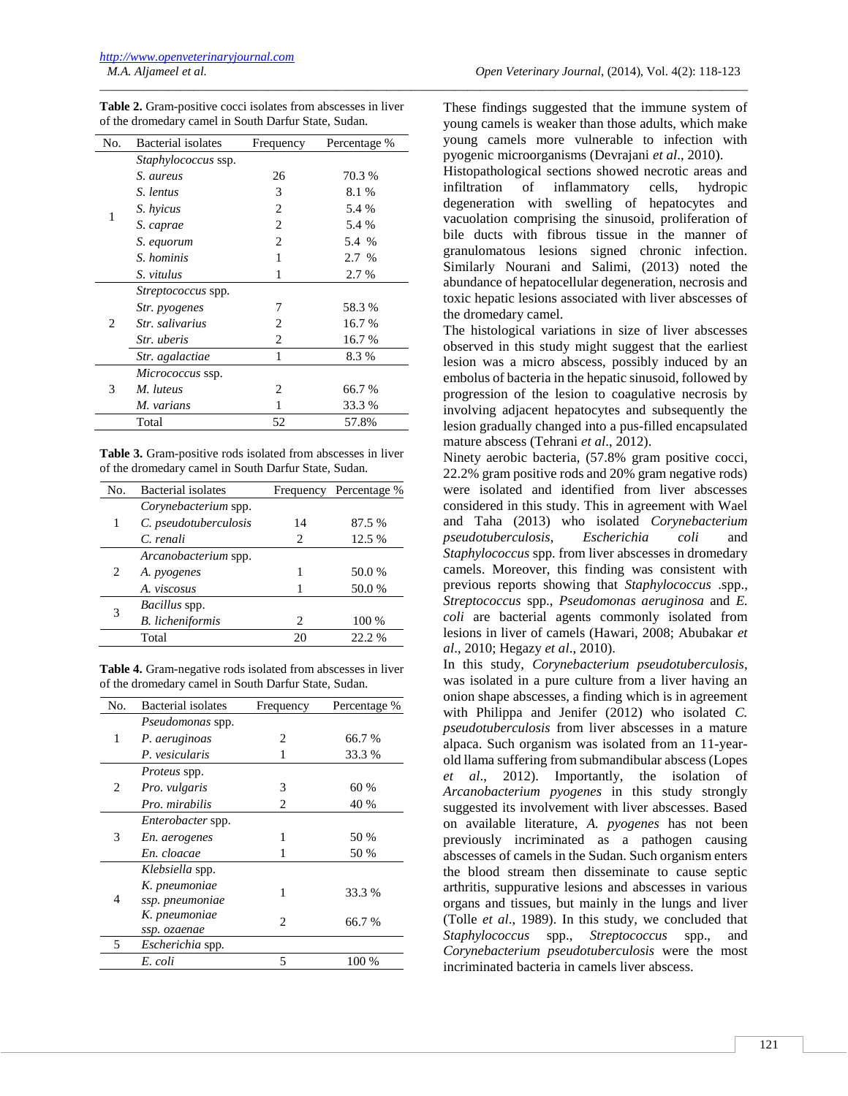| <b>Table 2.</b> Gram-positive cocci isolates from abscesses in liver |  |
|----------------------------------------------------------------------|--|
| of the dromedary camel in South Darfur State, Sudan.                 |  |

\_\_\_\_\_\_\_\_\_\_\_\_\_\_\_\_\_\_\_\_\_\_\_\_\_\_\_\_\_\_\_\_\_\_\_\_\_\_\_\_\_\_\_\_\_\_\_\_\_\_\_\_\_\_\_\_\_\_\_\_\_\_\_\_\_\_\_\_\_\_\_\_\_\_\_\_\_\_\_\_\_\_\_\_\_\_\_\_\_\_\_\_\_\_\_\_\_\_\_\_\_\_\_\_

| No. | Bacterial isolates         | Frequency                     | Percentage % |
|-----|----------------------------|-------------------------------|--------------|
|     | <i>Staphylococcus ssp.</i> |                               |              |
| 1   | S. aureus                  | 26                            | 70.3 %       |
|     | S. lentus                  | 3                             | 8.1 %        |
|     | S. hyicus                  | 2                             | 5.4 %        |
|     | S. caprae                  | 2                             | 5.4 %        |
|     | S. equorum                 | $\mathfrak{D}_{\mathfrak{p}}$ | 5.4 %        |
|     | S. hominis                 | 1                             | 2.7 %        |
|     | S. vitulus                 | 1                             | 2.7 %        |
|     | <i>Streptococcus</i> spp.  |                               |              |
| 2   | <i>Str. pyogenes</i>       | 7                             | 58.3%        |
|     | Str. salivarius            | 2                             | 16.7 %       |
|     | <i>Str. uberis</i>         | 2                             | 16.7 %       |
|     | Str. agalactiae            | 1                             | 8.3%         |
| 3   | Micrococcus ssp.           |                               |              |
|     | M. luteus                  | $\mathfrak{D}_{\mathfrak{p}}$ | 66.7 %       |
|     | M. varians                 | 1                             | 33.3 %       |
|     | Total                      | 52                            | 57.8%        |

**Table 3.** Gram-positive rods isolated from abscesses in liver of the dromedary camel in South Darfur State, Sudan.

| No. | Bacterial isolates      |                               | Frequency Percentage % |
|-----|-------------------------|-------------------------------|------------------------|
|     | Corynebacterium spp.    |                               |                        |
| 1   | C. pseudotuberculosis   | 14                            | 87.5 %                 |
|     | C. renali               | $\mathcal{D}_{\mathcal{L}}$   | 12.5 %                 |
|     | Arcanobacterium spp.    |                               |                        |
| 2   | A. pyogenes             |                               | 50.0 %                 |
|     | A. viscosus             |                               | 50.0 %                 |
| 3   | <i>Bacillus</i> spp.    |                               |                        |
|     | <b>B.</b> licheniformis | $\mathfrak{D}_{\mathfrak{p}}$ | 100 %                  |
|     | Total                   | 20                            | 22.2 %                 |
|     |                         |                               |                        |

**Table 4.** Gram-negative rods isolated from abscesses in liver of the dromedary camel in South Darfur State, Sudan.

| No. | Bacterial isolates       | Frequency              | Percentage % |
|-----|--------------------------|------------------------|--------------|
|     | Pseudomonas spp.         |                        |              |
| 1   | P. aeruginoas            | $\mathfrak{D}_{\cdot}$ | 66.7 %       |
|     | P. vesicularis           | 1                      | 33.3 %       |
| 2   | <i>Proteus</i> spp.      |                        |              |
|     | Pro. vulgaris            | 3                      | 60 %         |
|     | Pro. mirabilis           | 2                      | 40 %         |
| 3   | <i>Enterobacter</i> spp. |                        |              |
|     | En. aerogenes            | 1                      | 50 %         |
|     | En. cloacae              | 1                      | 50 %         |
| 4   | Klebsiella spp.          |                        |              |
|     | K. pneumoniae            | 1                      | 33.3 %       |
|     | ssp. pneumoniae          |                        |              |
|     | K. pneumoniae            | $\mathfrak{D}$         | 66.7%        |
|     | ssp. ozaenae             |                        |              |
| 5   | Escherichia spp.         |                        |              |
|     | E. coli                  | 5                      | 100 %        |

These findings suggested that the immune system of young camels is weaker than those adults, which make young camels more vulnerable to infection with pyogenic microorganisms (Devrajani *et al*., 2010).

Histopathological sections showed necrotic areas and infiltration of inflammatory cells, hydropic degeneration with swelling of hepatocytes and vacuolation comprising the sinusoid, proliferation of bile ducts with fibrous tissue in the manner of granulomatous lesions signed chronic infection. Similarly Nourani and Salimi, (2013) noted the abundance of hepatocellular degeneration, necrosis and toxic hepatic lesions associated with liver abscesses of the dromedary camel.

The histological variations in size of liver abscesses observed in this study might suggest that the earliest lesion was a micro abscess, possibly induced by an embolus of bacteria in the hepatic sinusoid, followed by progression of the lesion to coagulative necrosis by involving adjacent hepatocytes and subsequently the lesion gradually changed into a pus-filled encapsulated mature abscess (Tehrani *et al*., 2012).

Ninety aerobic bacteria, (57.8% gram positive cocci, 22.2% gram positive rods and 20% gram negative rods) were isolated and identified from liver abscesses considered in this study. This in agreement with Wael and Taha (2013) who isolated *Corynebacterium pseudotuberculosis*, *Escherichia coli* and *Staphylococcus* spp. from liver abscesses in dromedary camels. Moreover, this finding was consistent with previous reports showing that *Staphylococcus* .spp., *Streptococcus* spp., *Pseudomonas aeruginosa* and *E. coli* are bacterial agents commonly isolated from lesions in liver of camels (Hawari, 2008; Abubakar *et al*., 2010; Hegazy *et al*., 2010).

In this study, *Corynebacterium pseudotuberculosis*, was isolated in a pure culture from a liver having an onion shape abscesses, a finding which is in agreement with Philippa and Jenifer (2012) who isolated *C. pseudotuberculosis* from liver abscesses in a mature alpaca. Such organism was isolated from an 11-yearold llama suffering from submandibular abscess (Lopes *et al*., 2012). Importantly, the isolation of *Arcanobacterium pyogenes* in this study strongly suggested its involvement with liver abscesses. Based on available literature, *A. pyogenes* has not been previously incriminated as a pathogen causing abscesses of camels in the Sudan. Such organism enters the blood stream then disseminate to cause septic arthritis, suppurative lesions and abscesses in various organs and tissues, but mainly in the lungs and liver (Tolle *et al*., 1989). In this study, we concluded that *Staphylococcus* spp., *Streptococcus* spp., and *Corynebacterium pseudotuberculosis* were the most incriminated bacteria in camels liver abscess.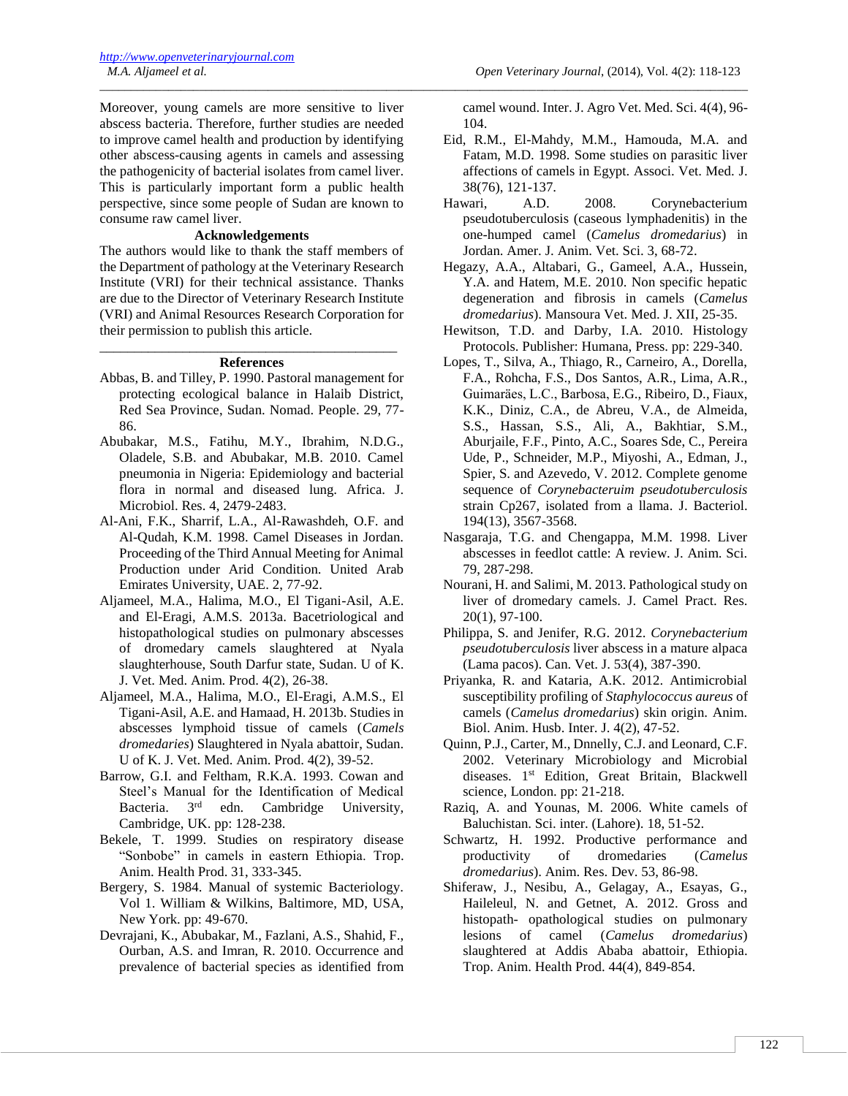Moreover, young camels are more sensitive to liver abscess bacteria. Therefore, further studies are needed to improve camel health and production by identifying other abscess-causing agents in camels and assessing the pathogenicity of bacterial isolates from camel liver. This is particularly important form a public health perspective, since some people of Sudan are known to consume raw camel liver.

\_\_\_\_\_\_\_\_\_\_\_\_\_\_\_\_\_\_\_\_\_\_\_\_\_\_\_\_\_\_\_\_\_\_\_\_\_\_\_\_\_\_\_\_\_\_\_\_\_\_\_\_\_\_\_\_\_\_\_\_\_\_\_\_\_\_\_\_\_\_\_\_\_\_\_\_\_\_\_\_\_\_\_\_\_\_\_\_\_\_\_\_\_\_\_\_\_\_\_\_\_\_\_\_

# **Acknowledgements**

The authors would like to thank the staff members of the Department of pathology at the Veterinary Research Institute (VRI) for their technical assistance. Thanks are due to the Director of Veterinary Research Institute (VRI) and Animal Resources Research Corporation for their permission to publish this article.

## \_\_\_\_\_\_\_\_\_\_\_\_\_\_\_\_\_\_\_\_\_\_\_\_\_\_\_\_\_\_\_\_\_\_\_\_\_\_\_\_\_\_\_ **References**

- Abbas, B. and Tilley, P. 1990. Pastoral management for protecting ecological balance in Halaib District, Red Sea Province, Sudan. Nomad. People. 29, 77- 86.
- Abubakar, M.S., Fatihu, M.Y., Ibrahim, N.D.G., Oladele, S.B. and Abubakar, M.B. 2010. Camel pneumonia in Nigeria: Epidemiology and bacterial flora in normal and diseased lung. Africa. J. Microbiol. Res. 4, 2479-2483.
- Al-Ani, F.K., Sharrif, L.A., Al-Rawashdeh, O.F. and Al-Qudah, K.M. 1998. Camel Diseases in Jordan. Proceeding of the Third Annual Meeting for Animal Production under Arid Condition. United Arab Emirates University, UAE. 2, 77-92.
- Aljameel, M.A., Halima, M.O., El Tigani-Asil, A.E. and El-Eragi, A.M.S. 2013a. Bacetriological and histopathological studies on pulmonary abscesses of dromedary camels slaughtered at Nyala slaughterhouse, South Darfur state, Sudan. U of K. J. Vet. Med. Anim. Prod. 4(2), 26-38.
- Aljameel, M.A., Halima, M.O., El-Eragi, A.M.S., El Tigani-Asil, A.E. and Hamaad, H. 2013b. Studies in abscesses lymphoid tissue of camels (*Camels dromedaries*) Slaughtered in Nyala abattoir, Sudan. U of K. J. Vet. Med. Anim. Prod. 4(2), 39-52.
- Barrow, G.I. and Feltham, R.K.A. 1993. Cowan and Steel's Manual for the Identification of Medical Bacteria.  $3<sup>rd</sup>$  edn. Cambridge University, Cambridge, UK. pp: 128-238.
- Bekele, T. 1999. Studies on respiratory disease "Sonbobe" in camels in eastern Ethiopia. Trop. Anim. Health Prod. 31, 333-345.
- Bergery, S. 1984. Manual of systemic Bacteriology. Vol 1. William & Wilkins, Baltimore, MD, USA, New York. pp: 49-670.
- Devrajani, K., Abubakar, M., Fazlani, A.S., Shahid, F., Ourban, A.S. and Imran, R. 2010. Occurrence and prevalence of bacterial species as identified from

camel wound. Inter. J. Agro Vet. Med. Sci. 4(4), 96- 104.

- Eid, R.M., El-Mahdy, M.M., Hamouda, M.A. and Fatam, M.D. 1998. Some studies on parasitic liver affections of camels in Egypt. Associ. Vet. Med. J. 38(76), 121-137.
- Hawari, A.D. 2008. Corynebacterium pseudotuberculosis (caseous lymphadenitis) in the one-humped camel (*Camelus dromedarius*) in Jordan. Amer. J. Anim. Vet. Sci. 3, 68-72.
- Hegazy, A.A., Altabari, G., Gameel, A.A., Hussein, Y.A. and Hatem, M.E. 2010. Non specific hepatic degeneration and fibrosis in camels (*Camelus dromedarius*). Mansoura Vet. Med. J. XII, 25-35.
- Hewitson, T.D. and Darby, I.A. 2010. Histology Protocols. Publisher: Humana, Press. pp: 229-340.
- Lopes, T., Silva, A., Thiago, R., Carneiro, A., Dorella, F.A., Rohcha, F.S., Dos Santos, A.R., Lima, A.R., Guimarӓes, L.C., Barbosa, E.G., Ribeiro, D., Fiaux, K.K., Diniz, C.A., de Abreu, V.A., de Almeida, S.S., Hassan, S.S., Ali, A., Bakhtiar, S.M., Aburjaile, F.F., Pinto, A.C., Soares Sde, C., Pereira Ude, P., Schneider, M.P., Miyoshi, A., Edman, J., Spier, S. and Azevedo, V. 2012. Complete genome sequence of *Corynebacteruim pseudotuberculosis* strain Cp267, isolated from a llama. J. Bacteriol. 194(13), 3567-3568.
- Nasgaraja, T.G. and Chengappa, M.M. 1998. Liver abscesses in feedlot cattle: A review. J. Anim. Sci. 79, 287-298.
- Nourani, H. and Salimi, M. 2013. Pathological study on liver of dromedary camels. J. Camel Pract. Res. 20(1), 97-100.
- Philippa, S. and Jenifer, R.G. 2012. *Corynebacterium pseudotuberculosis* liver abscess in a mature alpaca (Lama pacos). Can. Vet. J. 53(4), 387-390.
- Priyanka, R. and Kataria, A.K. 2012. Antimicrobial susceptibility profiling of *Staphylococcus aureus* of camels (*Camelus dromedarius*) skin origin. Anim. Biol. Anim. Husb. Inter. J. 4(2), 47-52.
- Quinn, P.J., Carter, M., Dnnelly, C.J. and Leonard, C.F. 2002. Veterinary Microbiology and Microbial diseases. 1<sup>st</sup> Edition, Great Britain, Blackwell science, London. pp: 21-218.
- Raziq, A. and Younas, M. 2006. White camels of Baluchistan. Sci. inter. (Lahore). 18, 51-52.
- Schwartz, H. 1992. Productive performance and productivity of dromedaries (*Camelus dromedarius*). Anim. Res. Dev. 53, 86-98.
- Shiferaw, J., Nesibu, A., Gelagay, A., Esayas, G., Haileleul, N. and Getnet, A. 2012. Gross and histopath- opathological studies on pulmonary lesions of camel (*Camelus dromedarius*) slaughtered at Addis Ababa abattoir, Ethiopia. Trop. Anim. Health Prod. 44(4), 849-854.